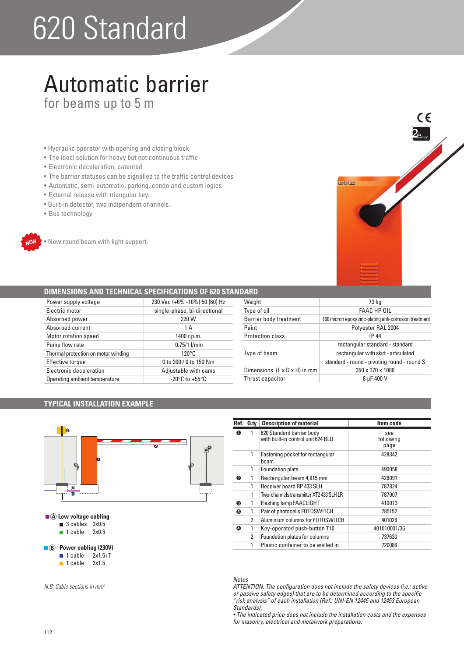# 620 Standard

### Automatic barrier for beams up to 5 m

- Hydraulic operator with opening and closing block
- The ideal solution for heavy but not continuous traffic
- Electronic deceleration, patented
- The barrier statuses can be signalled to the traffic control devices
- Automatic, semi-automatic, parking, condo and custom logics
- External release with triangular key.
- · Built-in detector, two indipendent channels.
- Bus technology



. New round beam with light support.

#### **DIMENSIONS AND TECHNICAL SPECIFICATIONS OF 620 STAND**

| Power supply voltage                | 230 Vac (+6% -10%) 50 (60) Hz      |
|-------------------------------------|------------------------------------|
| Electric motor                      | single-phase, bi-directional       |
| Absorbed power                      | 220 W                              |
| Absorbed current                    | 1 A                                |
| <b>Motor rotation speed</b>         | 1400 r.p.m.                        |
| Pump flow rate                      | $0.75/1$ l/min                     |
| Thermal protection on motor winding | $120^{\circ}$ C                    |
| <b>Effective torque</b>             | 0 to 200 / 0 to 150 Nm             |
| Electronic deceleration             | Adjustable with cams               |
| Operating ambient temperature       | $-20^{\circ}$ C to $+55^{\circ}$ C |

| 73 kg                                                  |
|--------------------------------------------------------|
| FAAC HP OIL                                            |
| 100 micron epoxy zinc-plating anti-corrosion treatment |
| Polyester RAL 2004                                     |
| <b>IP 44</b>                                           |
| rectangular standard - standard                        |
| rectangular with skirt - articulated                   |
| standard - round - pivoting round - round S            |
| 350 x 170 x 1080                                       |
| 8 uF 400 V                                             |
|                                                        |

**EARS** 

 $\epsilon$ 

#### **TYPICAL INSTALLATION EXAMPLE**



| Ref. | $Q_{\text{.}ty}$ | <b>Description of material</b>                                  | Item code                |
|------|------------------|-----------------------------------------------------------------|--------------------------|
| O    |                  | 620 Standard barrier body<br>with built-in control unit 624 BLD | see<br>following<br>page |
|      | 1                | Fastening pocket for rectangular<br>beam                        | 428342                   |
|      | 1                | Foundation plate                                                | 490058                   |
| ❷    | 1                | Rectangular beam 4,815 mm                                       | 428091                   |
|      | 1                | Receiver board RP 433 SLH                                       | 787824                   |
|      | 1                | Two-channels transmitter XT2 433 SLH LR                         | 787007                   |
| A    | 1                | Flashing lamp FAACLIGHT                                         | 410013                   |
| 6    |                  | Pair of photocells FOTOSWITCH                                   | 785152                   |
|      | 2                | Aluminium columns for FOTOSWITCH                                | 401028                   |
| ❹    |                  | Key-operated push-button T10                                    | 401010001/36             |
|      | 2                | Foundation plates for columns                                   | 737630                   |
|      | 1                | Plastic container to be walled in                               | 720086                   |

#### *Notes*

*ATTENTION: The configuration does not include the safety devices (i.e.: active or passive safety edges) that are to be determined according to the specific "risk analysis" of each installation (Ref.: UNI-EN 12445 and 12453 European Standards).*

• The indicated price does not include the installation costs and the expenses *for masonry, electrical and metalwork preparations.*

|  | $\sim$<br>$\sim$ |  |  |
|--|------------------|--|--|
|  |                  |  |  |
|  |                  |  |  |
|  |                  |  |  |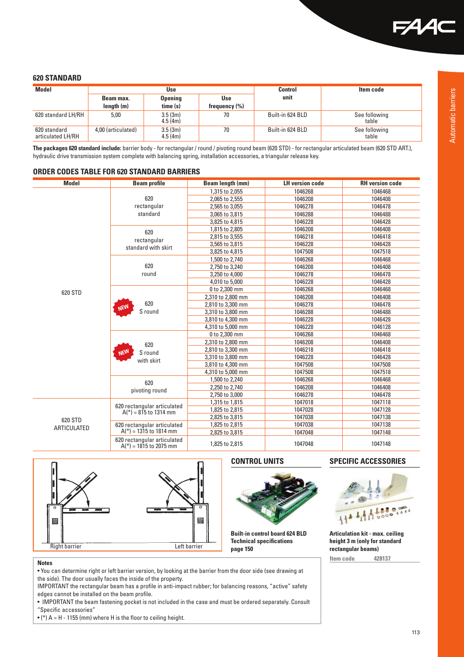

#### **620 STANDARD**

| <b>Model</b>                      | Use                |                    | Control           | Item code        |                        |
|-----------------------------------|--------------------|--------------------|-------------------|------------------|------------------------|
|                                   | Beam max.          | <b>Opening</b>     | Use               | unit             |                        |
|                                   | length(m)          | time (s)           | frequency $(\% )$ |                  |                        |
| 620 standard LH/RH                | 5,00               | 3.5(3m)<br>4.5(4m) | 70                | Built-in 624 BLD | See following<br>table |
| 620 standard<br>articulated LH/RH | 4,00 (articulated) | 3.5(3m)<br>4.5(4m) | 70                | Built-in 624 BLD | See following<br>table |

**The packages 620 standard include:** barrier body - for rectangular / round / pivoting round beam (620 STD) - for rectangular articulated beam (620 STD ART.), hydraulic drive transmission system complete with balancing spring, installation accessories, a triangular release key.

#### **ORDER CODES TABLE FOR 620 STANDARD BARRIERS**

| <b>Model</b> | <b>Beam profile</b>                                     | Beam length (mm)  | <b>LH version code</b> | <b>RH</b> version code |
|--------------|---------------------------------------------------------|-------------------|------------------------|------------------------|
|              |                                                         | 1,315 to 2,055    | 1046268                | 1046468                |
|              | 620                                                     | 2,065 to 2,555    | 1046208                | 1046408                |
|              | rectangular                                             | 2,565 to 3,055    | 1046278                | 1046478                |
|              | standard                                                | 3,065 to 3,815    | 1046288                | 1046488                |
|              |                                                         | 3,825 to 4,815    | 1046228                | 1046428                |
|              | 620<br>rectangular                                      | 1,815 to 2,805    | 1046208                | 1046408                |
|              |                                                         | 2,815 to 3,555    | 1046218                | 1046418                |
|              | standard with skirt                                     | 3,565 to 3,815    | 1046228                | 1046428                |
|              |                                                         | 3,825 to 4,815    | 1047508                | 1047518                |
|              |                                                         | 1,500 to 2,740    | 1046268                | 1046468                |
|              | 620                                                     | 2,750 to 3,240    | 1046208                | 1046408                |
|              | round                                                   | 3,250 to 4,000    | 1046278                | 1046478                |
|              |                                                         | 4,010 to 5,000    | 1046228                | 1046428                |
| 620 STD      |                                                         | 0 to 2,300 mm     | 1046268                | 1046468                |
|              |                                                         | 2,310 to 2,800 mm | 1046208                | 1046408                |
|              | 620<br><b>NEW</b><br>S round                            | 2,810 to 3,300 mm | 1046278                | 1046478                |
|              |                                                         | 3,310 to 3,800 mm | 1046288                | 1046488                |
|              |                                                         | 3,810 to 4,300 mm | 1046228                | 1046428                |
|              |                                                         | 4.310 to 5.000 mm | 1046228                | 1046128                |
|              | 620<br><b>NEW</b><br>S round<br>with skirt              | 0 to 2,300 mm     | 1046268                | 1046468                |
|              |                                                         | 2,310 to 2,800 mm | 1046208                | 1046408                |
|              |                                                         | 2,810 to 3,300 mm | 1046218                | 1046418                |
|              |                                                         | 3,310 to 3,800 mm | 1046228                | 1046428                |
|              |                                                         | 3,810 to 4,300 mm | 1047508                | 1047508                |
|              |                                                         | 4,310 to 5,000 mm | 1047508                | 1047518                |
|              | 620<br>pivoting round                                   | 1,500 to 2,240    | 1046268                | 1046468                |
|              |                                                         | 2,250 to 2,740    | 1046208                | 1046408                |
|              |                                                         | 2,750 to 3,000    | 1046278                | 1046478                |
|              |                                                         | 1,315 to 1,815    | 1047018                | 1047118                |
|              | 620 rectangular articulated<br>$A(*)$ = 815 to 1314 mm  | 1,825 to 2,815    | 1047028                | 1047128                |
| 620 STD      |                                                         | 2,825 to 3,815    | 1047038                | 1047138                |
| ARTICULATED  | 620 rectangular articulated                             | 1,825 to 2,815    | 1047038                | 1047138                |
|              | $A(*)$ = 1315 to 1814 mm                                | 2,825 to 3,815    | 1047048                | 1047148                |
|              | 620 rectangular articulated<br>$A(*) = 1815$ to 2075 mm | 1,825 to 2,815    | 1047048                | 1047148                |





**Built-in control board 624 BLD Technical specifications** 

#### **CONTROL UNITS SPECIFIC ACCESSORIES**



**Articulation kit - max. ceiling height 3 m (only for standard rectangular beams) Item code 428137**

#### **Notes**

. You can determine right or left barrier version, by looking at the barrier from the door side (see drawing at the side). The door usually faces the inside of the property.

IMPORTANT the rectangular beam has a profile in anti-impact rubber; for balancing reasons, "active" safety edges cannot be installed on the beam profile.

. IMPORTANT the beam fastening pocket is not included in the case and must be ordered separately. Consult "Specific accessories"

 $\bullet$  (\*) A = H - 1155 (mm) where H is the floor to ceiling height.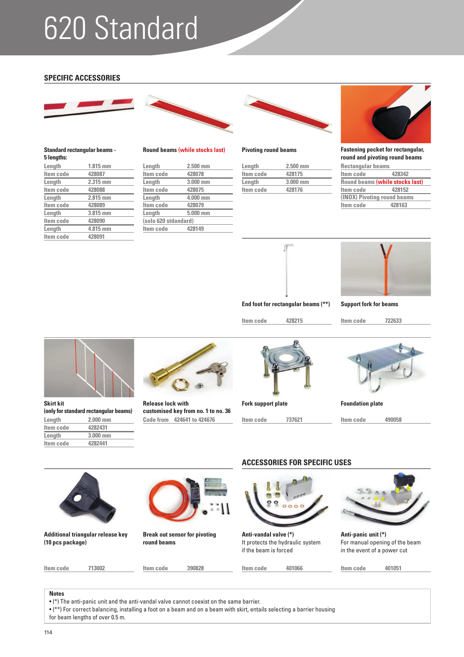## 620 Standard

#### **SPECIFIC ACCESSORIES**

**Length** 1.815 mm<br>**Item code** 428087

**Standard rectangular beams -** 

**Item code 428088 Length 2.815 mm Item code 428089**<br> **Length 3.815 m** 

**Item code 428090 Length** 4.815 mm<br>Item code 428091

**Item code**<br>**Length** 

**5 lengths:**

**Item code** 



**Length 2.315 mm**

**Length 3.815 mm**



#### **Round beams (while stocks last) Pivoting round beams**

| Length               | $2.500$ mm |  |
|----------------------|------------|--|
| Item code            | 428078     |  |
| Length               | 3.000 mm   |  |
| Item code            | 428075     |  |
| Length               | 4.000 mm   |  |
| Item code            | 428079     |  |
| Length               | $5.000$ mm |  |
| (solo 620 stdandard) |            |  |
| Item code            | 428149     |  |
|                      |            |  |



| Length    | $2.500$ mm |
|-----------|------------|
| Item code | 428175     |
| Length    | $3.000$ mm |
| Item code | 428176     |



**Fastening pocket for rectangular, round and pivoting round beams**

| Round beams (while stocks last) |  |  |  |
|---------------------------------|--|--|--|
|                                 |  |  |  |
| (INOX) Pivoting round beams     |  |  |  |
|                                 |  |  |  |
|                                 |  |  |  |





**End foot for rectangular beams (\*\*)**

**Item code 428215**

**Item code 722633 Support fork for beams**

**Skirt kit (only for standard rectangular beams) Length** 2.000 mm<br>Item code 4282431 **Item code Length 3.000 mm**

**Item code 4282441**



**Code from 424641 to 424676 Release lock with customised key from no. 1 to no. 36**



**Fork support plate** Foundation plate

**Item code 737621 Item code 490058**





**Additional triangular release key (10 pcs package)**

**Item code 713002**



**Break out sensor for pivoting round beams**

**Item code 390828**

### **ACCESSORIES FOR SPECIFIC USES**



**Anti-vandal valve (\*)** It protects the hydraulic system if the beam is forced

**Item code 401066 Item code 401051**



**Anti-panic unit (\*)** For manual opening of the beam in the event of a power cut

#### **Notes**

 $\bullet$  (\*) The anti-panic unit and the anti-vandal valve cannot coexist on the same barrier.

 $\bullet$  (\*\*) For correct balancing, installing a foot on a beam and on a beam with skirt, entails selecting a barrier housing for beam lengths of over 0.5 m.